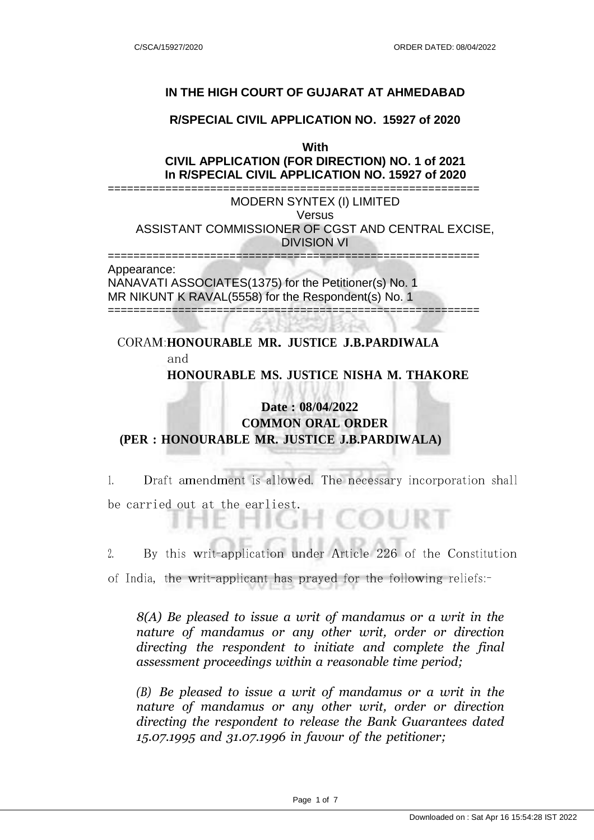### **IN THE HIGH COURT OF GUJARAT AT AHMEDABAD**

### **R/SPECIAL CIVIL APPLICATION NO. 15927 of 2020**

**With**

**CIVIL APPLICATION (FOR DIRECTION) NO. 1 of 2021 In R/SPECIAL CIVIL APPLICATION NO. 15927 of 2020**

========================================================== MODERN SYNTEX (I) LIMITED **Versus** ASSISTANT COMMISSIONER OF CGST AND CENTRAL EXCISE, DIVISION VI

========================================================== Appearance:

NANAVATI ASSOCIATES(1375) for the Petitioner(s) No. 1 MR NIKUNT K RAVAL(5558) for the Respondent(s) No. 1 ==========================================================

## CORAM:**HONOURABLE MR. JUSTICE J.B.PARDIWALA** and **HONOURABLE MS. JUSTICE NISHA M. THAKORE**

# **Date : 08/04/2022 COMMON ORAL ORDER (PER : HONOURABLE MR. JUSTICE J.B.PARDIWALA)**

1. Draft amendment is allowed. The necessary incorporation shall be carried out at the earliest.

2. By this writ-application under Article <sup>226</sup> of the Constitution

of India, the writ-applicant has prayed for the following reliefs:-

*8(A) Be pleased to issue a writ of mandamus or a writ in the nature of mandamus or any other writ, order or direction directing the respondent to initiate and complete the final assessment proceedings within a reasonable time period;*

*(B) Be pleased to issue a writ of mandamus or a writ in the nature of mandamus or any other writ, order or direction directing the respondent to release the Bank Guarantees dated 15.07.1995 and 31.07.1996 in favour of the petitioner;*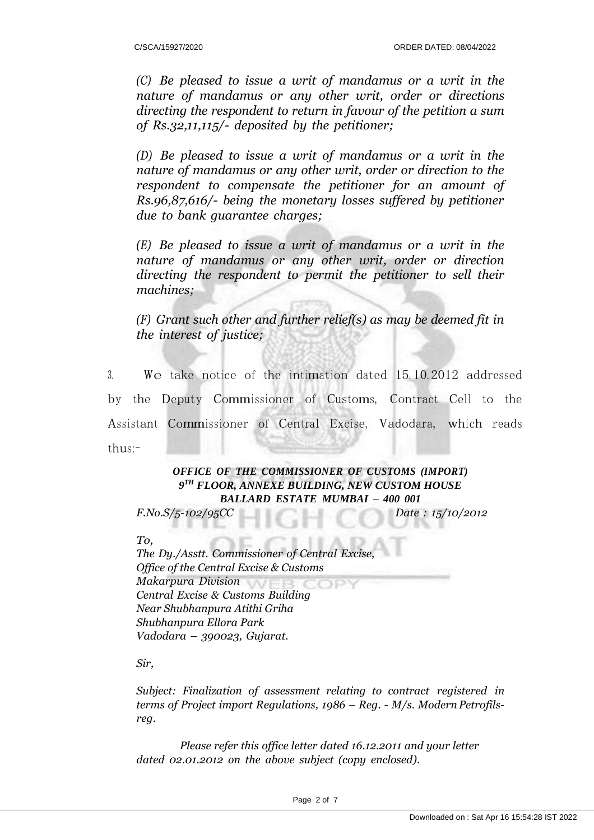*(C) Be pleased to issue a writ of mandamus or a writ in the nature of mandamus or any other writ, order or directions directing the respondent to return in favour of the petition a sum of Rs.32,11,115/- deposited by the petitioner;*

*(D) Be pleased to issue a writ of mandamus or a writ in the nature of mandamus or any other writ, order or direction to the respondent to compensate the petitioner for an amount of Rs.96,87,616/- being the monetary losses suffered by petitioner due to bank guarantee charges;*

*(E) Be pleased to issue a writ of mandamus or a writ in the nature of mandamus or any other writ, order or direction directing the respondent to permit the petitioner to sell their machines;*

*(F) Grant such other and further relief(s) as may be deemed fit in the interest of justice;*

3. We take notice of the intimation dated 15.10.2012 addressed by the Deputy Commissioner of Customs, Contract Cell to the Assistant Commissioner of Central Excise, Vadodara, which reads thus:-

### *OFFICE OF THE COMMISSIONER OF CUSTOMS (IMPORT) 9 TH FLOOR, ANNEXE BUILDING, NEW CUSTOM HOUSE BALLARD ESTATE MUMBAI – 400 001*

*F.No.S/5-102/95CC Date : 15/10/2012*

*To,*

*The Dy./Asstt. Commissioner of Central Excise, Office of the Central Excise & Customs Makarpura Division Central Excise & Customs Building Near Shubhanpura Atithi Griha Shubhanpura Ellora Park Vadodara – 390023, Gujarat.*

*Sir,*

*Subject: Finalization of assessment relating to contract registered in terms of Project import Regulations, 1986 – Reg. - M/s. Modern Petrofilsreg.*

*Please refer this office letter dated 16.12.2011 and your letter dated 02.01.2012 on the above subject (copy enclosed).*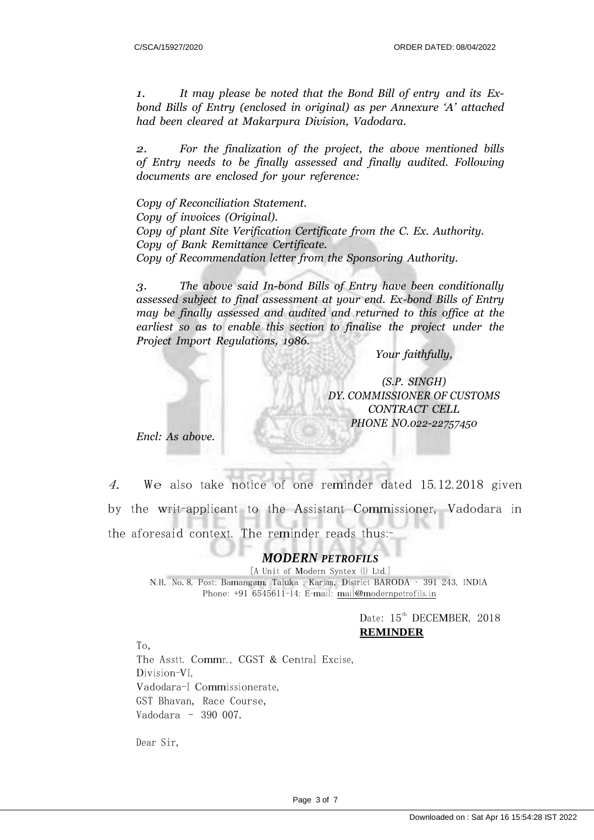*1. It may please be noted that the Bond Bill of entry and its Exbond Bills of Entry (enclosed in original) as per Annexure 'A' attached had been cleared at Makarpura Division, Vadodara.*

*2. For the finalization of the project, the above mentioned bills of Entry needs to be finally assessed and finally audited. Following documents are enclosed for your reference:*

*Copy of Reconciliation Statement. Copy of invoices (Original). Copy of plant Site Verification Certificate from the C. Ex. Authority. Copy of Bank Remittance Certificate. Copy of Recommendation letter from the Sponsoring Authority.*

*3. The above said In-bond Bills of Entry have been conditionally assessed subject to final assessment at your end. Ex-bond Bills of Entry may be finally assessed and audited and returned to this office at the earliest so as to enable this section to finalise the project under the Project Import Regulations, 1986.*

*Your faithfully,*

*(S.P. SINGH) DY. COMMISSIONER OF CUSTOMS CONTRACT CELL PHONE NO.022-22757450*

*Encl: As above.*

4.We also take notice of one reminder dated 15.12.2018 given by the writ-applicant to the Assistant Commissioner, Vadodara in the aforesaid context. The reminder reads thus:

#### *MODERN PETROFILS*

[A Unit of **Modern Syntex** (l) Ltd.] N.H. No.8, Post: Bamangam, Taluka : Karjan, District BARODA – <sup>391</sup> 243, INDIA Phone: +91 6545611-14; E-mail: [mail@modernpetrofils.in](mailto:mail@modernpetrofils.in)

> Date:  $15^{\text{th}}$  DECEMBER, 2018 **REMINDER**

To, The Asstt. Commr., CGST & Central Excise, Division-VI, Vadodara-I Commissionerate, GST Bhavan, Race Course, Vadodara – 390 007.

Dear Sir,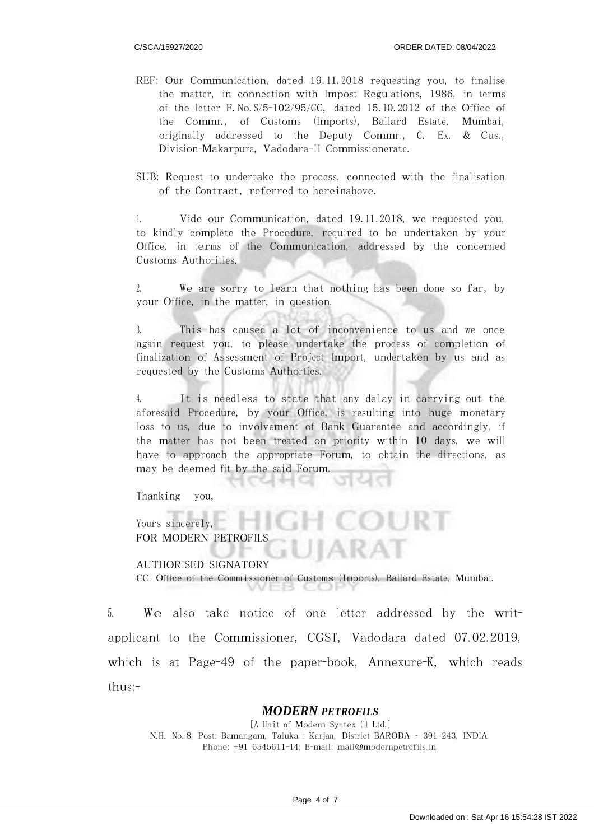- REF: Our Communication, dated 19.11.2018 requesting you, to finalise the matter, in connection with Impost Regulations, 1986, in terms of the letter F.No.S/5-102/95/CC, dated 15.10.2012 of the Office of the Commr., of Customs (Imports), Ballard Estate, Mumbai, originally addressed to the Deputy Commr., C. Ex. & Cus., Division-Makarpura, Vadodara-II Commissionerate.
- SUB: Request to undertake the process, connected with the finalisation of the Contract, referred to hereinabove.

1. Vide our Communication, dated 19.11.2018, we requested you, to kindly complete the Procedure, required to be undertaken by your Office, in terms of the Communication, addressed by the concerned Customs Authorities.

2. We are sorry to learn that nothing has been done so far, by your Office, in the matter, in question.

3. This has caused a lot of inconvenience to us and we once again request you, to please undertake the process of completion of finalization of Assessment of Project Import, undertaken by us and as requested by the Customs Authorties.

4. It is needless to state that any delay in carrying out the aforesaid Procedure, by your Office, is resulting into huge monetary loss to us, due to involvement of Bank Guarantee and accordingly, if the matter has not been treated on priority within <sup>10</sup> days, we will have to approach the appropriate Forum, to obtain the directions, as may be deemed fit by the said Forum.

Thanking you,

Yours sincerely, FOR MODERN PETROFILS

AUTHORISED SIGNATORY CC: Office of the Commissioner of Customs (Imports), Ballard Estate, Mumbai.

5. We also take notice of one letter addressed by the writapplicant to the Commissioner, CGST, Vadodara dated 07.02.2019, which is at Page-49 of the paper-book, Annexure-K, which reads  $thus$ :-

#### *MODERN PETROFILS*

[A Unit of **Modern Syntex** (l) Ltd.] N.H. No.8, Post: Bamangam, Taluka : Karjan, District BARODA – <sup>391</sup> 243, INDIA Phone: +91 6545611-14; E-mail: [mail@modernpetrofils.in](mailto:mail@modernpetrofils.in)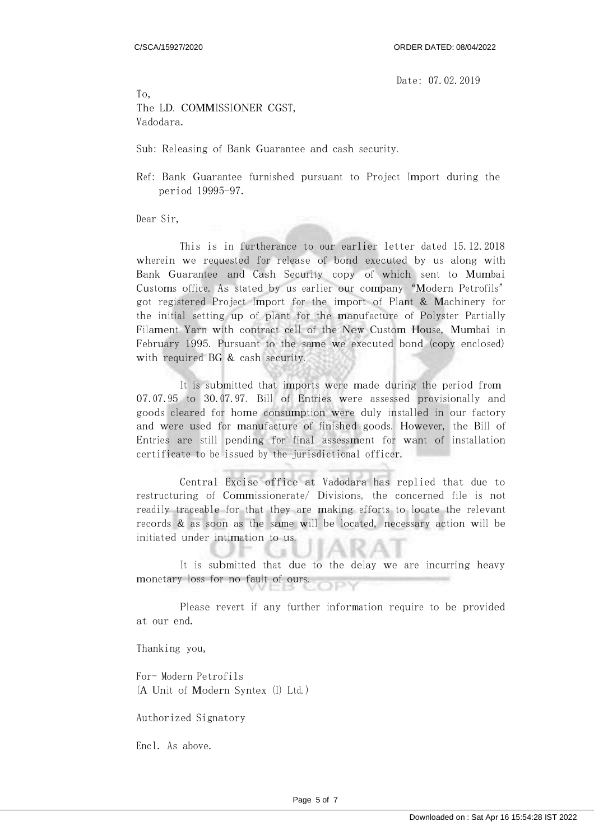Date: 07.02.2019

To, The LD. COMMISSIONER CGST, Vadodara.

Sub: Releasing of Bank Guarantee and cash security.

Ref: Bank Guarantee furnished pursuant to Project Import during the period 19995-97.

Dear Sir,

This is in furtherance to our earlier letter dated 15.12.2018 wherein we requested for release of bond executed by us along with Bank Guarantee and Cash Security copy of which sent to Mumbai Customs office. As stated by us earlier our company "Modern Petrofils" got registered Project Import for the import of Plant & Machinery for the initial setting up of plant for the manufacture of Polyster Partially Filament Yarn with contract cell of the New Custom House, Mumbai in February 1995. Pursuant to the same we executed bond (copy enclosed) with required BG & cash security.

It is submitted that imports were made during the period from 07.07.95 to 30.07.97. Bill of Entries were assessed provisionally and goods cleared for home consumption were duly installed in our factory and were used for manufacture of finished goods. However, the Bill of Entries are still pending for final assessment for want of installation certificate to be issued by the jurisdictional officer.

Central Excise office at Vadodara has replied that due to restructuring of Commissionerate/ Divisions, the concerned file is not readily traceable for that they are making efforts to locate the relevant records & as soon as the same will be located, necessary action will be initiated under intimation to us.

It is submitted that due to the delay we are incurring heavy monetary loss for no fault of ours.

Please revert if any further information require to be provided at our end.

Thanking you,

For- Modern Petrofils (A Unit of Modern Syntex (I) Ltd.)

Authorized Signatory

Encl. As above.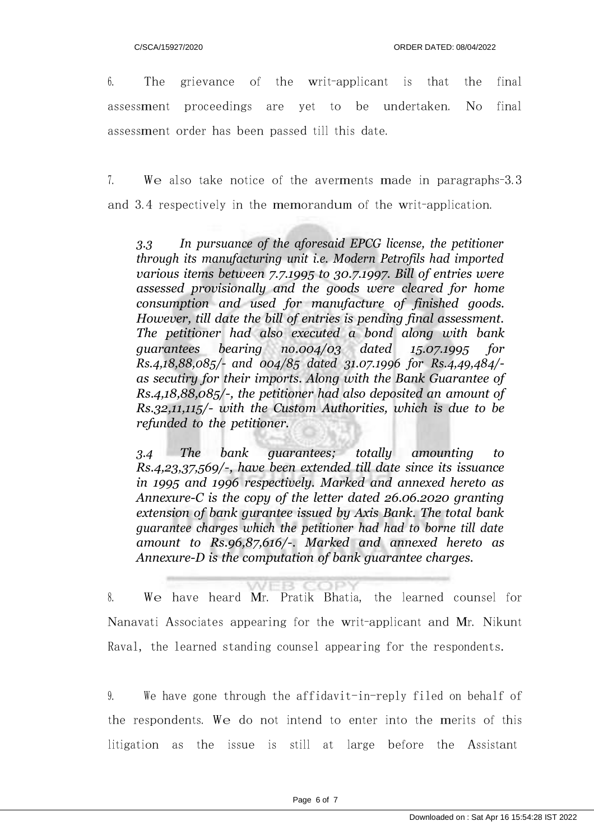6. The grievance of the writ-applicant is that the final assessment proceedings are yet to be undertaken. No final assessment order has been passed till this date.

7. We also take notice of the averments made in paragraphs-3.3 and 3.4 respectively in the memorandum of the writ-application.

*3.3 In pursuance of the aforesaid EPCG license, the petitioner through its manufacturing unit i.e. Modern Petrofils had imported various items between 7.7.1995 to 30.7.1997. Bill of entries were assessed provisionally and the goods were cleared for home consumption and used for manufacture of finished goods. However, till date the bill of entries is pending final assessment. The petitioner had also executed a bond along with bank guarantees bearing no.004/03 dated 15.07.1995 for Rs.4,18,88,085/- and 004/85 dated 31.07.1996 for Rs.4,49,484/ as secutiry for their imports. Along with the Bank Guarantee of Rs.4,18,88,085/-, the petitioner had also deposited an amount of Rs.32,11,115/- with the Custom Authorities, which is due to be refunded to the petitioner.*

*3.4 The bank guarantees; totally amounting to Rs.4,23,37,569/-, have been extended till date since its issuance in 1995 and 1996 respectively. Marked and annexed hereto as Annexure-C is the copy of the letter dated 26.06.2020 granting extension of bank gurantee issued by Axis Bank. The total bank guarantee charges which the petitioner had had to borne till date amount to Rs.96,87,616/-. Marked and annexed hereto as Annexure-D is the computation of bank guarantee charges.*

8. We have heard Mr. Pratik Bhatia, the learned counsel for Nanavati Associates appearing for the writ-applicant and Mr. Nikunt Raval, the learned standing counsel appearing for the respondents.

9. We have gone through the affidavit-in-reply filed on behalf of the respondents. We do not intend to enter into the merits of this litigation as the issue is still at large before the Assistant